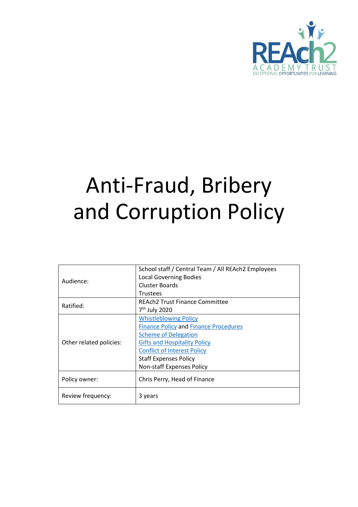

# Anti-Fraud, Bribery and Corruption Policy

| Audience:               | School staff / Central Team / All REAch2 Employees |
|-------------------------|----------------------------------------------------|
|                         | <b>Local Governing Bodies</b>                      |
|                         | Cluster Boards                                     |
|                         | <b>Trustees</b>                                    |
| Ratified:               | <b>REAch2 Trust Finance Committee</b>              |
|                         | 7 <sup>th</sup> July 2020                          |
| Other related policies: | <b>Whistleblowing Policy</b>                       |
|                         | <b>Finance Policy and Finance Procedures</b>       |
|                         | <b>Scheme of Delegation</b>                        |
|                         | <b>Gifts and Hospitality Policy</b>                |
|                         | <b>Conflict of Interest Policy</b>                 |
|                         | <b>Staff Expenses Policy</b>                       |
|                         | <b>Non-staff Expenses Policy</b>                   |
|                         |                                                    |
| Policy owner:           | Chris Perry, Head of Finance                       |
|                         |                                                    |
| Review frequency:       | 3 years                                            |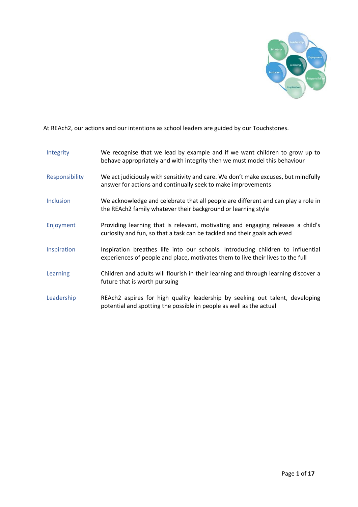

At REAch2, our actions and our intentions as school leaders are guided by our Touchstones.

| Integrity        | We recognise that we lead by example and if we want children to grow up to<br>behave appropriately and with integrity then we must model this behaviour            |
|------------------|--------------------------------------------------------------------------------------------------------------------------------------------------------------------|
| Responsibility   | We act judiciously with sensitivity and care. We don't make excuses, but mindfully<br>answer for actions and continually seek to make improvements                 |
| <b>Inclusion</b> | We acknowledge and celebrate that all people are different and can play a role in<br>the REAch2 family whatever their background or learning style                 |
| Enjoyment        | Providing learning that is relevant, motivating and engaging releases a child's<br>curiosity and fun, so that a task can be tackled and their goals achieved       |
| Inspiration      | Inspiration breathes life into our schools. Introducing children to influential<br>experiences of people and place, motivates them to live their lives to the full |
| Learning         | Children and adults will flourish in their learning and through learning discover a<br>future that is worth pursuing                                               |
| Leadership       | REAch2 aspires for high quality leadership by seeking out talent, developing<br>potential and spotting the possible in people as well as the actual                |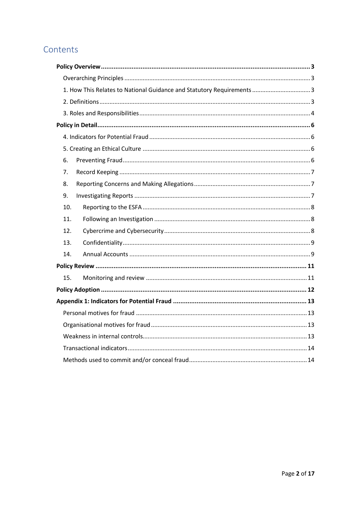## Contents

| 1. How This Relates to National Guidance and Statutory Requirements  3 |  |  |
|------------------------------------------------------------------------|--|--|
|                                                                        |  |  |
|                                                                        |  |  |
|                                                                        |  |  |
|                                                                        |  |  |
|                                                                        |  |  |
| 6.                                                                     |  |  |
| 7.                                                                     |  |  |
| 8.                                                                     |  |  |
| 9.                                                                     |  |  |
| 10.                                                                    |  |  |
| 11.                                                                    |  |  |
| 12.                                                                    |  |  |
| 13.                                                                    |  |  |
| 14.                                                                    |  |  |
|                                                                        |  |  |
| 15.                                                                    |  |  |
|                                                                        |  |  |
|                                                                        |  |  |
|                                                                        |  |  |
|                                                                        |  |  |
|                                                                        |  |  |
|                                                                        |  |  |
|                                                                        |  |  |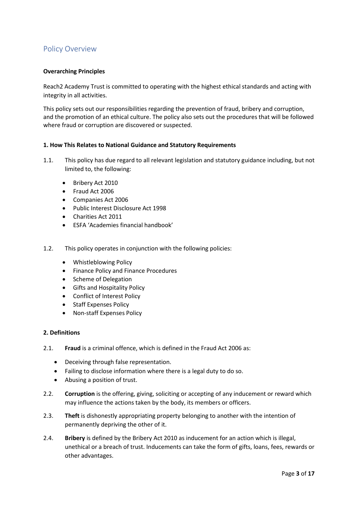## <span id="page-3-0"></span>Policy Overview

#### <span id="page-3-1"></span>**Overarching Principles**

Reach2 Academy Trust is committed to operating with the highest ethical standards and acting with integrity in all activities.

This policy sets out our responsibilities regarding the prevention of fraud, bribery and corruption, and the promotion of an ethical culture. The policy also sets out the procedures that will be followed where fraud or corruption are discovered or suspected.

#### <span id="page-3-2"></span>**1. How This Relates to National Guidance and Statutory Requirements**

- 1.1. This policy has due regard to all relevant legislation and statutory guidance including, but not limited to, the following:
	- Bribery Act 2010
	- Fraud Act 2006
	- Companies Act 2006
	- Public Interest Disclosure Act 1998
	- Charities Act 2011
	- ESFA 'Academies financial handbook'
- 1.2. This policy operates in conjunction with the following policies:
	- Whistleblowing Policy
	- Finance Policy and Finance Procedures
	- Scheme of Delegation
	- Gifts and Hospitality Policy
	- Conflict of Interest Policy
	- Staff Expenses Policy
	- Non-staff Expenses Policy

#### <span id="page-3-3"></span>**2. Definitions**

- 2.1. **Fraud** is a criminal offence, which is defined in the Fraud Act 2006 as:
	- Deceiving through false representation.
	- Failing to disclose information where there is a legal duty to do so.
	- Abusing a position of trust.
- 2.2. **Corruption** is the offering, giving, soliciting or accepting of any inducement or reward which may influence the actions taken by the body, its members or officers.
- 2.3. **Theft** is dishonestly appropriating property belonging to another with the intention of permanently depriving the other of it.
- 2.4. **Bribery** is defined by the Bribery Act 2010 as inducement for an action which is illegal, unethical or a breach of trust. Inducements can take the form of gifts, loans, fees, rewards or other advantages.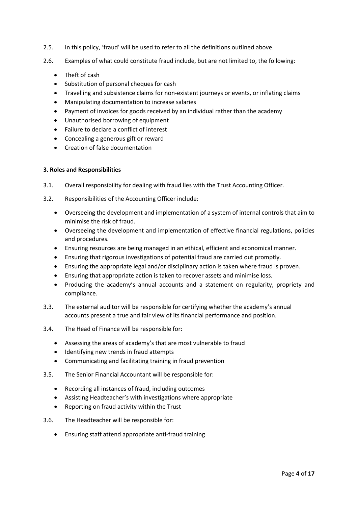- 2.5. In this policy, 'fraud' will be used to refer to all the definitions outlined above.
- 2.6. Examples of what could constitute fraud include, but are not limited to, the following:
	- Theft of cash
	- Substitution of personal cheques for cash
	- Travelling and subsistence claims for non-existent journeys or events, or inflating claims
	- Manipulating documentation to increase salaries
	- Payment of invoices for goods received by an individual rather than the academy
	- Unauthorised borrowing of equipment
	- Failure to declare a conflict of interest
	- Concealing a generous gift or reward
	- Creation of false documentation

#### <span id="page-4-0"></span>**3. Roles and Responsibilities**

- 3.1. Overall responsibility for dealing with fraud lies with the Trust Accounting Officer.
- 3.2. Responsibilities of the Accounting Officer include:
	- Overseeing the development and implementation of a system of internal controls that aim to minimise the risk of fraud.
	- Overseeing the development and implementation of effective financial regulations, policies and procedures.
	- Ensuring resources are being managed in an ethical, efficient and economical manner.
	- Ensuring that rigorous investigations of potential fraud are carried out promptly.
	- Ensuring the appropriate legal and/or disciplinary action is taken where fraud is proven.
	- Ensuring that appropriate action is taken to recover assets and minimise loss.
	- Producing the academy's annual accounts and a statement on regularity, propriety and compliance.
- 3.3. The external auditor will be responsible for certifying whether the academy's annual accounts present a true and fair view of its financial performance and position.
- 3.4. The Head of Finance will be responsible for:
	- Assessing the areas of academy's that are most vulnerable to fraud
	- Identifying new trends in fraud attempts
	- Communicating and facilitating training in fraud prevention
- 3.5. The Senior Financial Accountant will be responsible for:
	- Recording all instances of fraud, including outcomes
	- Assisting Headteacher's with investigations where appropriate
	- Reporting on fraud activity within the Trust
- 3.6. The Headteacher will be responsible for:
	- Ensuring staff attend appropriate anti-fraud training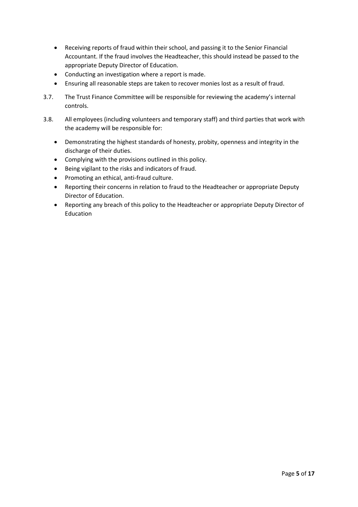- Receiving reports of fraud within their school, and passing it to the Senior Financial Accountant. If the fraud involves the Headteacher, this should instead be passed to the appropriate Deputy Director of Education.
- Conducting an investigation where a report is made.
- Ensuring all reasonable steps are taken to recover monies lost as a result of fraud.
- 3.7. The Trust Finance Committee will be responsible for reviewing the academy's internal controls.
- 3.8. All employees (including volunteers and temporary staff) and third parties that work with the academy will be responsible for:
	- Demonstrating the highest standards of honesty, probity, openness and integrity in the discharge of their duties.
	- Complying with the provisions outlined in this policy.
	- Being vigilant to the risks and indicators of fraud.
	- Promoting an ethical, anti-fraud culture.
	- Reporting their concerns in relation to fraud to the Headteacher or appropriate Deputy Director of Education.
	- Reporting any breach of this policy to the Headteacher or appropriate Deputy Director of Education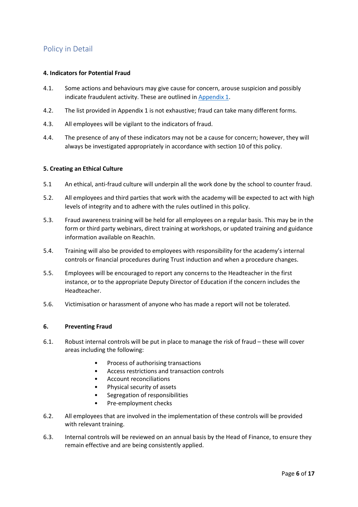## <span id="page-6-0"></span>Policy in Detail

#### <span id="page-6-1"></span>**4. Indicators for Potential Fraud**

- 4.1. Some actions and behaviours may give cause for concern, arouse suspicion and possibly indicate fraudulent activity. These are outlined in [Appendix 1.](#page-13-0)
- 4.2. The list provided in Appendix 1 is not exhaustive; fraud can take many different forms.
- 4.3. All employees will be vigilant to the indicators of fraud.
- 4.4. The presence of any of these indicators may not be a cause for concern; however, they will always be investigated appropriately in accordance with section 10 of this policy.

#### <span id="page-6-2"></span>**5. Creating an Ethical Culture**

- 5.1 An ethical, anti-fraud culture will underpin all the work done by the school to counter fraud.
- 5.2. All employees and third parties that work with the academy will be expected to act with high levels of integrity and to adhere with the rules outlined in this policy.
- 5.3. Fraud awareness training will be held for all employees on a regular basis. This may be in the form or third party webinars, direct training at workshops, or updated training and guidance information available on ReachIn.
- 5.4. Training will also be provided to employees with responsibility for the academy's internal controls or financial procedures during Trust induction and when a procedure changes.
- 5.5. Employees will be encouraged to report any concerns to the Headteacher in the first instance, or to the appropriate Deputy Director of Education if the concern includes the Headteacher.
- 5.6. Victimisation or harassment of anyone who has made a report will not be tolerated.

#### <span id="page-6-3"></span>**6. Preventing Fraud**

- 6.1. Robust internal controls will be put in place to manage the risk of fraud these will cover areas including the following:
	- Process of authorising transactions
	- Access restrictions and transaction controls
	- Account reconciliations
	- Physical security of assets
	- Segregation of responsibilities
	- Pre-employment checks
- 6.2. All employees that are involved in the implementation of these controls will be provided with relevant training.
- 6.3. Internal controls will be reviewed on an annual basis by the Head of Finance, to ensure they remain effective and are being consistently applied.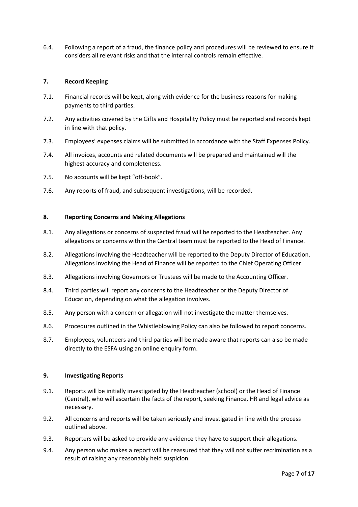6.4. Following a report of a fraud, the finance policy and procedures will be reviewed to ensure it considers all relevant risks and that the internal controls remain effective.

#### <span id="page-7-0"></span>**7. Record Keeping**

- 7.1. Financial records will be kept, along with evidence for the business reasons for making payments to third parties.
- 7.2. Any activities covered by the Gifts and Hospitality Policy must be reported and records kept in line with that policy.
- 7.3. Employees' expenses claims will be submitted in accordance with the Staff Expenses Policy.
- 7.4. All invoices, accounts and related documents will be prepared and maintained will the highest accuracy and completeness.
- 7.5. No accounts will be kept "off-book".
- 7.6. Any reports of fraud, and subsequent investigations, will be recorded.

#### <span id="page-7-1"></span>**8. Reporting Concerns and Making Allegations**

- 8.1. Any allegations or concerns of suspected fraud will be reported to the Headteacher. Any allegations or concerns within the Central team must be reported to the Head of Finance.
- 8.2. Allegations involving the Headteacher will be reported to the Deputy Director of Education. Allegations involving the Head of Finance will be reported to the Chief Operating Officer.
- 8.3. Allegations involving Governors or Trustees will be made to the Accounting Officer.
- 8.4. Third parties will report any concerns to the Headteacher or the Deputy Director of Education, depending on what the allegation involves.
- 8.5. Any person with a concern or allegation will not investigate the matter themselves.
- 8.6. Procedures outlined in the Whistleblowing Policy can also be followed to report concerns.
- 8.7. Employees, volunteers and third parties will be made aware that reports can also be made directly to the ESFA using an online enquiry form.

#### <span id="page-7-2"></span>**9. Investigating Reports**

- 9.1. Reports will be initially investigated by the Headteacher (school) or the Head of Finance (Central), who will ascertain the facts of the report, seeking Finance, HR and legal advice as necessary.
- 9.2. All concerns and reports will be taken seriously and investigated in line with the process outlined above.
- 9.3. Reporters will be asked to provide any evidence they have to support their allegations.
- 9.4. Any person who makes a report will be reassured that they will not suffer recrimination as a result of raising any reasonably held suspicion.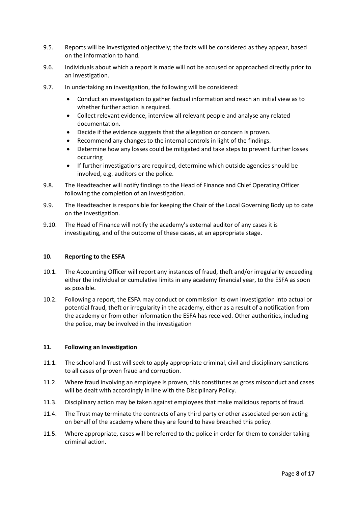- 9.5. Reports will be investigated objectively; the facts will be considered as they appear, based on the information to hand.
- 9.6. Individuals about which a report is made will not be accused or approached directly prior to an investigation.
- 9.7. In undertaking an investigation, the following will be considered:
	- Conduct an investigation to gather factual information and reach an initial view as to whether further action is required.
	- Collect relevant evidence, interview all relevant people and analyse any related documentation.
	- Decide if the evidence suggests that the allegation or concern is proven.
	- Recommend any changes to the internal controls in light of the findings.
	- Determine how any losses could be mitigated and take steps to prevent further losses occurring
	- If further investigations are required, determine which outside agencies should be involved, e.g. auditors or the police.
- 9.8. The Headteacher will notify findings to the Head of Finance and Chief Operating Officer following the completion of an investigation.
- 9.9. The Headteacher is responsible for keeping the Chair of the Local Governing Body up to date on the investigation.
- 9.10. The Head of Finance will notify the academy's external auditor of any cases it is investigating, and of the outcome of these cases, at an appropriate stage.

#### <span id="page-8-0"></span>**10. Reporting to the ESFA**

- 10.1. The Accounting Officer will report any instances of fraud, theft and/or irregularity exceeding either the individual or cumulative limits in any academy financial year, to the ESFA as soon as possible.
- 10.2. Following a report, the ESFA may conduct or commission its own investigation into actual or potential fraud, theft or irregularity in the academy, either as a result of a notification from the academy or from other information the ESFA has received. Other authorities, including the police, may be involved in the investigation

#### <span id="page-8-1"></span>**11. Following an Investigation**

- <span id="page-8-2"></span>11.1. The school and Trust will seek to apply appropriate criminal, civil and disciplinary sanctions to all cases of proven fraud and corruption.
- 11.2. Where fraud involving an employee is proven, this constitutes as gross misconduct and cases will be dealt with accordingly in line with the Disciplinary Policy.
- 11.3. Disciplinary action may be taken against employees that make malicious reports of fraud.
- 11.4. The Trust may terminate the contracts of any third party or other associated person acting on behalf of the academy where they are found to have breached this policy.
- 11.5. Where appropriate, cases will be referred to the police in order for them to consider taking criminal action.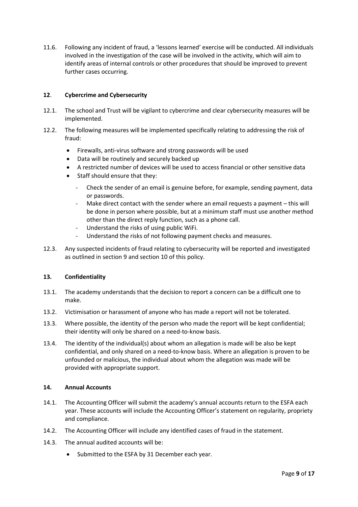11.6. Following any incident of fraud, a 'lessons learned' exercise will be conducted. All individuals involved in the investigation of the case will be involved in the activity, which will aim to identify areas of internal controls or other procedures that should be improved to prevent further cases occurring.

#### **12**. **Cybercrime and Cybersecurity**

- 12.1. The school and Trust will be vigilant to cybercrime and clear cybersecurity measures will be implemented.
- 12.2. The following measures will be implemented specifically relating to addressing the risk of fraud:
	- Firewalls, anti-virus software and strong passwords will be used
	- Data will be routinely and securely backed up
	- A restricted number of devices will be used to access financial or other sensitive data
	- Staff should ensure that they:
		- Check the sender of an email is genuine before, for example, sending payment, data or passwords.
		- Make direct contact with the sender where an email requests a payment this will be done in person where possible, but at a minimum staff must use another method other than the direct reply function, such as a phone call.
		- Understand the risks of using public WiFi.
		- Understand the risks of not following payment checks and measures.
- 12.3. Any suspected incidents of fraud relating to cybersecurity will be reported and investigated as outlined in section 9 and section 10 of this policy.

#### <span id="page-9-0"></span>**13. Confidentiality**

- 13.1. The academy understands that the decision to report a concern can be a difficult one to make.
- 13.2. Victimisation or harassment of anyone who has made a report will not be tolerated.
- 13.3. Where possible, the identity of the person who made the report will be kept confidential; their identity will only be shared on a need-to-know basis.
- 13.4. The identity of the individual(s) about whom an allegation is made will be also be kept confidential, and only shared on a need-to-know basis. Where an allegation is proven to be unfounded or malicious, the individual about whom the allegation was made will be provided with appropriate support.

#### <span id="page-9-1"></span>**14. Annual Accounts**

- 14.1. The Accounting Officer will submit the academy's annual accounts return to the ESFA each year. These accounts will include the Accounting Officer's statement on regularity, propriety and compliance.
- 14.2. The Accounting Officer will include any identified cases of fraud in the statement.
- 14.3. The annual audited accounts will be:
	- Submitted to the ESFA by 31 December each year.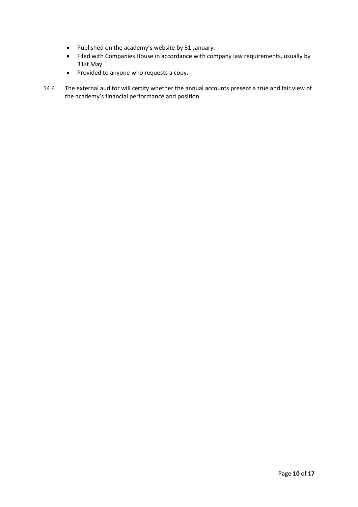- Published on the academy's website by 31 January.
- Filed with Companies House in accordance with company law requirements, usually by 31st May.
- Provided to anyone who requests a copy.
- <span id="page-10-0"></span>14.4. The external auditor will certify whether the annual accounts present a true and fair view of the academy's financial performance and position.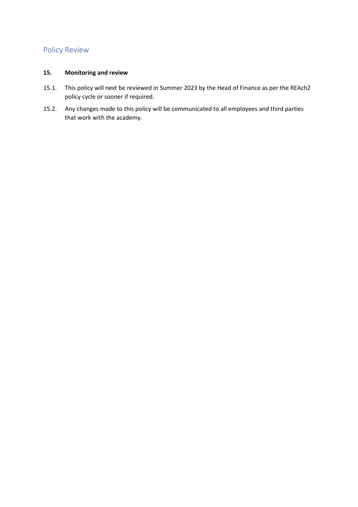### Policy Review

#### <span id="page-11-0"></span>**15. Monitoring and review**

- 15.1. This policy will next be reviewed in Summer 2023 by the Head of Finance as per the REAch2 policy cycle or sooner if required.
- 15.2. Any changes made to this policy will be communicated to all employees and third parties that work with the academy.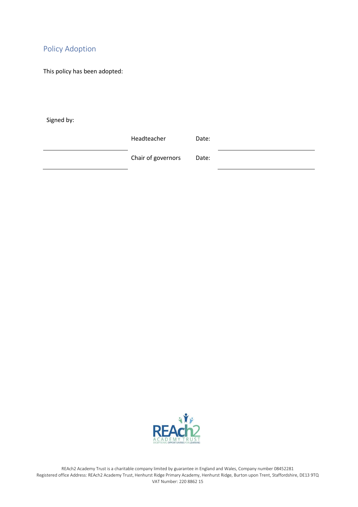## <span id="page-12-0"></span>Policy Adoption

This policy has been adopted:

Signed by:

Headteacher Date:

Chair of governors Date:

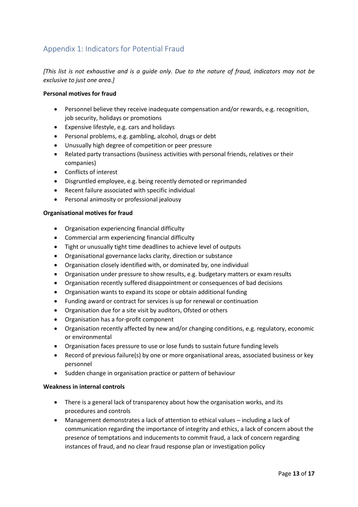## <span id="page-13-0"></span>Appendix 1: Indicators for Potential Fraud

*[This list is not exhaustive and is a guide only. Due to the nature of fraud, indicators may not be exclusive to just one area.]*

#### <span id="page-13-1"></span>**Personal motives for fraud**

- <span id="page-13-2"></span>• Personnel believe they receive inadequate compensation and/or rewards, e.g. recognition, job security, holidays or promotions
- Expensive lifestyle, e.g. cars and holidays
- Personal problems, e.g. gambling, alcohol, drugs or debt
- Unusually high degree of competition or peer pressure
- Related party transactions (business activities with personal friends, relatives or their companies)
- Conflicts of interest
- Disgruntled employee, e.g. being recently demoted or reprimanded
- Recent failure associated with specific individual
- Personal animosity or professional jealousy

#### **Organisational motives for fraud**

- <span id="page-13-3"></span>• Organisation experiencing financial difficulty
- Commercial arm experiencing financial difficulty
- Tight or unusually tight time deadlines to achieve level of outputs
- Organisational governance lacks clarity, direction or substance
- Organisation closely identified with, or dominated by, one individual
- Organisation under pressure to show results, e.g. budgetary matters or exam results
- Organisation recently suffered disappointment or consequences of bad decisions
- Organisation wants to expand its scope or obtain additional funding
- Funding award or contract for services is up for renewal or continuation
- Organisation due for a site visit by auditors, Ofsted or others
- Organisation has a for-profit component
- Organisation recently affected by new and/or changing conditions, e.g. regulatory, economic or environmental
- Organisation faces pressure to use or lose funds to sustain future funding levels
- Record of previous failure(s) by one or more organisational areas, associated business or key personnel
- Sudden change in organisation practice or pattern of behaviour

#### **Weakness in internal controls**

- There is a general lack of transparency about how the organisation works, and its procedures and controls
- Management demonstrates a lack of attention to ethical values including a lack of communication regarding the importance of integrity and ethics, a lack of concern about the presence of temptations and inducements to commit fraud, a lack of concern regarding instances of fraud, and no clear fraud response plan or investigation policy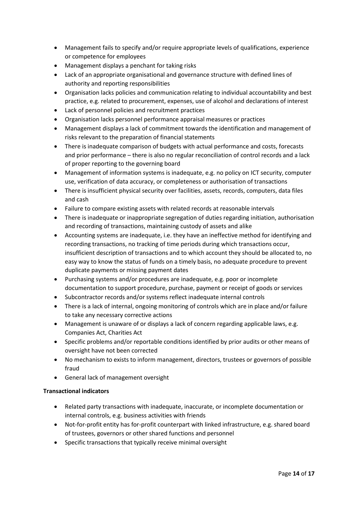- Management fails to specify and/or require appropriate levels of qualifications, experience or competence for employees
- Management displays a penchant for taking risks
- Lack of an appropriate organisational and governance structure with defined lines of authority and reporting responsibilities
- Organisation lacks policies and communication relating to individual accountability and best practice, e.g. related to procurement, expenses, use of alcohol and declarations of interest
- Lack of personnel policies and recruitment practices
- Organisation lacks personnel performance appraisal measures or practices
- Management displays a lack of commitment towards the identification and management of risks relevant to the preparation of financial statements
- There is inadequate comparison of budgets with actual performance and costs, forecasts and prior performance – there is also no regular reconciliation of control records and a lack of proper reporting to the governing board
- Management of information systems is inadequate, e.g. no policy on ICT security, computer use, verification of data accuracy, or completeness or authorisation of transactions
- There is insufficient physical security over facilities, assets, records, computers, data files and cash
- Failure to compare existing assets with related records at reasonable intervals
- There is inadequate or inappropriate segregation of duties regarding initiation, authorisation and recording of transactions, maintaining custody of assets and alike
- Accounting systems are inadequate, i.e. they have an ineffective method for identifying and recording transactions, no tracking of time periods during which transactions occur, insufficient description of transactions and to which account they should be allocated to, no easy way to know the status of funds on a timely basis, no adequate procedure to prevent duplicate payments or missing payment dates
- Purchasing systems and/or procedures are inadequate, e.g. poor or incomplete documentation to support procedure, purchase, payment or receipt of goods or services
- Subcontractor records and/or systems reflect inadequate internal controls
- There is a lack of internal, ongoing monitoring of controls which are in place and/or failure to take any necessary corrective actions
- Management is unaware of or displays a lack of concern regarding applicable laws, e.g. Companies Act, Charities Act
- Specific problems and/or reportable conditions identified by prior audits or other means of oversight have not been corrected
- No mechanism to exists to inform management, directors, trustees or governors of possible fraud
- General lack of management oversight

#### <span id="page-14-0"></span>**Transactional indicators**

- <span id="page-14-1"></span>• Related party transactions with inadequate, inaccurate, or incomplete documentation or internal controls, e.g. business activities with friends
- Not-for-profit entity has for-profit counterpart with linked infrastructure, e.g. shared board of trustees, governors or other shared functions and personnel
- Specific transactions that typically receive minimal oversight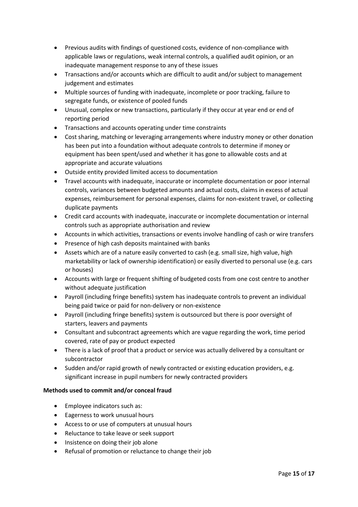- Previous audits with findings of questioned costs, evidence of non-compliance with applicable laws or regulations, weak internal controls, a qualified audit opinion, or an inadequate management response to any of these issues
- Transactions and/or accounts which are difficult to audit and/or subject to management judgement and estimates
- Multiple sources of funding with inadequate, incomplete or poor tracking, failure to segregate funds, or existence of pooled funds
- Unusual, complex or new transactions, particularly if they occur at year end or end of reporting period
- Transactions and accounts operating under time constraints
- Cost sharing, matching or leveraging arrangements where industry money or other donation has been put into a foundation without adequate controls to determine if money or equipment has been spent/used and whether it has gone to allowable costs and at appropriate and accurate valuations
- Outside entity provided limited access to documentation
- Travel accounts with inadequate, inaccurate or incomplete documentation or poor internal controls, variances between budgeted amounts and actual costs, claims in excess of actual expenses, reimbursement for personal expenses, claims for non-existent travel, or collecting duplicate payments
- Credit card accounts with inadequate, inaccurate or incomplete documentation or internal controls such as appropriate authorisation and review
- Accounts in which activities, transactions or events involve handling of cash or wire transfers
- Presence of high cash deposits maintained with banks
- Assets which are of a nature easily converted to cash (e.g. small size, high value, high marketability or lack of ownership identification) or easily diverted to personal use (e.g. cars or houses)
- Accounts with large or frequent shifting of budgeted costs from one cost centre to another without adequate justification
- Payroll (including fringe benefits) system has inadequate controls to prevent an individual being paid twice or paid for non-delivery or non-existence
- Payroll (including fringe benefits) system is outsourced but there is poor oversight of starters, leavers and payments
- Consultant and subcontract agreements which are vague regarding the work, time period covered, rate of pay or product expected
- There is a lack of proof that a product or service was actually delivered by a consultant or subcontractor
- Sudden and/or rapid growth of newly contracted or existing education providers, e.g. significant increase in pupil numbers for newly contracted providers

#### **Methods used to commit and/or conceal fraud**

- Employee indicators such as:
- Eagerness to work unusual hours
- Access to or use of computers at unusual hours
- Reluctance to take leave or seek support
- Insistence on doing their job alone
- Refusal of promotion or reluctance to change their job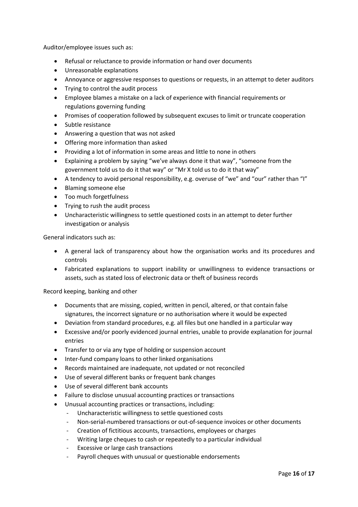Auditor/employee issues such as:

- Refusal or reluctance to provide information or hand over documents
- Unreasonable explanations
- Annoyance or aggressive responses to questions or requests, in an attempt to deter auditors
- Trying to control the audit process
- Employee blames a mistake on a lack of experience with financial requirements or regulations governing funding
- Promises of cooperation followed by subsequent excuses to limit or truncate cooperation
- Subtle resistance
- Answering a question that was not asked
- Offering more information than asked
- Providing a lot of information in some areas and little to none in others
- Explaining a problem by saying "we've always done it that way", "someone from the government told us to do it that way" or "Mr X told us to do it that way"
- A tendency to avoid personal responsibility, e.g. overuse of "we" and "our" rather than "I"
- Blaming someone else
- Too much forgetfulness
- Trying to rush the audit process
- Uncharacteristic willingness to settle questioned costs in an attempt to deter further investigation or analysis

General indicators such as:

- A general lack of transparency about how the organisation works and its procedures and controls
- Fabricated explanations to support inability or unwillingness to evidence transactions or assets, such as stated loss of electronic data or theft of business records

Record keeping, banking and other

- Documents that are missing, copied, written in pencil, altered, or that contain false signatures, the incorrect signature or no authorisation where it would be expected
- Deviation from standard procedures, e.g. all files but one handled in a particular way
- Excessive and/or poorly evidenced journal entries, unable to provide explanation for journal entries
- Transfer to or via any type of holding or suspension account
- Inter-fund company loans to other linked organisations
- Records maintained are inadequate, not updated or not reconciled
- Use of several different banks or frequent bank changes
- Use of several different bank accounts
- Failure to disclose unusual accounting practices or transactions
- Unusual accounting practices or transactions, including:
	- Uncharacteristic willingness to settle questioned costs
	- Non-serial-numbered transactions or out-of-sequence invoices or other documents
	- Creation of fictitious accounts, transactions, employees or charges
	- Writing large cheques to cash or repeatedly to a particular individual
	- Excessive or large cash transactions
	- Payroll cheques with unusual or questionable endorsements